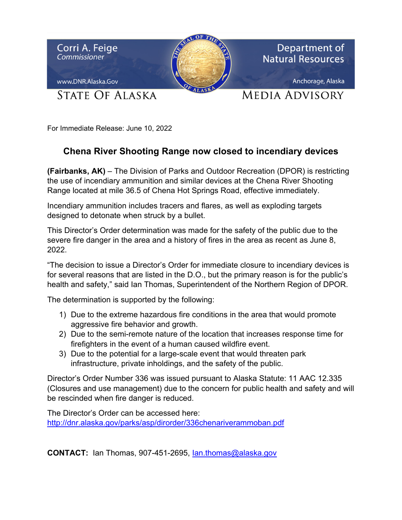

For Immediate Release: June 10, 2022

## **Chena River Shooting Range now closed to incendiary devices**

**(Fairbanks, AK)** – The Division of Parks and Outdoor Recreation (DPOR) is restricting the use of incendiary ammunition and similar devices at the Chena River Shooting Range located at mile 36.5 of Chena Hot Springs Road, effective immediately.

Incendiary ammunition includes tracers and flares, as well as exploding targets designed to detonate when struck by a bullet.

This Director's Order determination was made for the safety of the public due to the severe fire danger in the area and a history of fires in the area as recent as June 8, 2022.

"The decision to issue a Director's Order for immediate closure to incendiary devices is for several reasons that are listed in the D.O., but the primary reason is for the public's health and safety," said Ian Thomas, Superintendent of the Northern Region of DPOR.

The determination is supported by the following:

- 1) Due to the extreme hazardous fire conditions in the area that would promote aggressive fire behavior and growth.
- 2) Due to the semi-remote nature of the location that increases response time for firefighters in the event of a human caused wildfire event.
- 3) Due to the potential for a large-scale event that would threaten park infrastructure, private inholdings, and the safety of the public.

Director's Order Number 336 was issued pursuant to Alaska Statute: 11 AAC 12.335 (Closures and use management) due to the concern for public health and safety and will be rescinded when fire danger is reduced.

The Director's Order can be accessed here: http://dnr.alaska.gov/parks/asp/dirorder/336chenariverammoban.pdf

**CONTACT:** Ian Thomas, 907-451-2695, Ian.thomas@alaska.gov